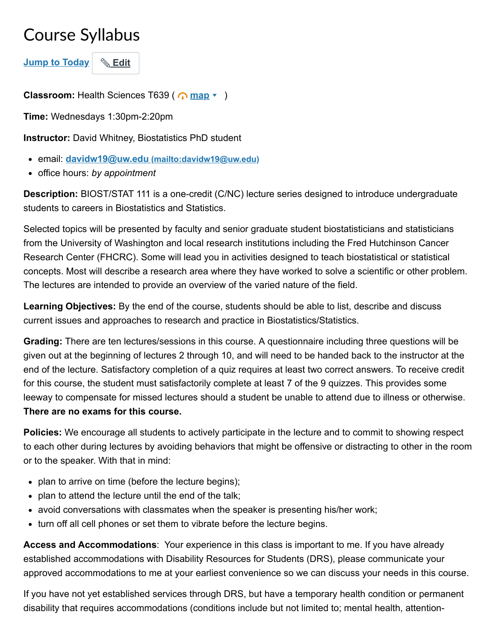## Course Syllabus

**Jump to Today** & Edit

**Classroom:** Health Sciences T639 ( $\bigcap \text{map } \mathbf{v}$  $\bigcap \text{map } \mathbf{v}$  $\bigcap \text{map } \mathbf{v}$ )

**Time:** Wednesdays 1:30pm-2:20pm

**Instructor:** David Whitney, Biostatistics PhD student

- email: **davidw19@uw.edu [\(mailto:davidw19@uw.edu\)](mailto:davidw19@uw.edu)**
- office hours: *by appointment*

**Description:** BIOST/STAT 111 is a one-credit (C/NC) lecture series designed to introduce undergraduate students to careers in Biostatistics and Statistics.

Selected topics will be presented by faculty and senior graduate student biostatisticians and statisticians from the University of Washington and local research institutions including the Fred Hutchinson Cancer Research Center (FHCRC). Some will lead you in activities designed to teach biostatistical or statistical concepts. Most will describe a research area where they have worked to solve a scientific or other problem. The lectures are intended to provide an overview of the varied nature of the field.

**Learning Objectives:** By the end of the course, students should be able to list, describe and discuss current issues and approaches to research and practice in Biostatistics/Statistics.

**Grading:** There are ten lectures/sessions in this course. A questionnaire including three questions will be given out at the beginning of lectures 2 through 10, and will need to be handed back to the instructor at the end of the lecture. Satisfactory completion of a quiz requires at least two correct answers. To receive credit for this course, the student must satisfactorily complete at least 7 of the 9 quizzes. This provides some leeway to compensate for missed lectures should a student be unable to attend due to illness or otherwise. **There are no exams for this course.**

**Policies:** We encourage all students to actively participate in the lecture and to commit to showing respect to each other during lectures by avoiding behaviors that might be offensive or distracting to other in the room or to the speaker. With that in mind:

- plan to arrive on time (before the lecture begins);
- plan to attend the lecture until the end of the talk;
- avoid conversations with classmates when the speaker is presenting his/her work;
- turn off all cell phones or set them to vibrate before the lecture begins.

**Access and Accommodations**: Your experience in this class is important to me. If you have already established accommodations with Disability Resources for Students (DRS), please communicate your approved accommodations to me at your earliest convenience so we can discuss your needs in this course.

If you have not yet established services through DRS, but have a temporary health condition or permanent disability that requires accommodations (conditions include but not limited to; mental health, attention